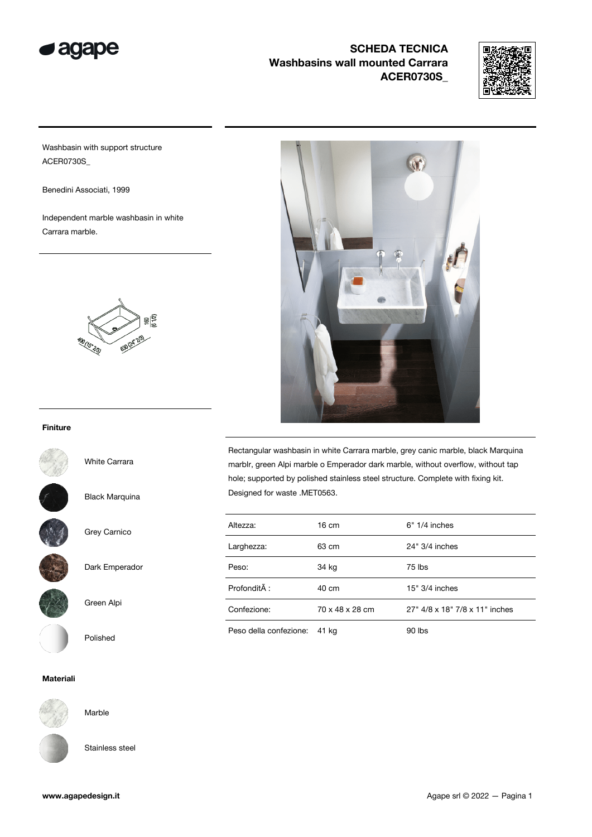



Washbasin with support structure ACER0730S\_

Benedini Associati, 1999

Independent marble washbasin in white Carrara marble.



#### Finiture

White Carrara

Black Marquina

Grey Carnico



Dark Emperador



Green Alpi



Materiali



Stainless steel

Marble

**M** 

Rectangular washbasin in white Carrara marble, grey canic marble, black Marquina marblr, green Alpi marble o Emperador dark marble, without overflow, without tap hole; supported by polished stainless steel structure. Complete with fixing kit. Designed for waste .MET0563.

| Altezza:               | 16 cm           | $6" 1/4$ inches                |
|------------------------|-----------------|--------------------------------|
|                        |                 |                                |
| Larghezza:             | 63 cm           | 24" 3/4 inches                 |
| Peso:                  | 34 kg           | 75 lbs                         |
| Profondità :           | 40 cm           | $15" 3/4$ inches               |
| Confezione:            | 70 x 48 x 28 cm | 27" 4/8 x 18" 7/8 x 11" inches |
| Peso della confezione: | 41 kg           | 90 lbs                         |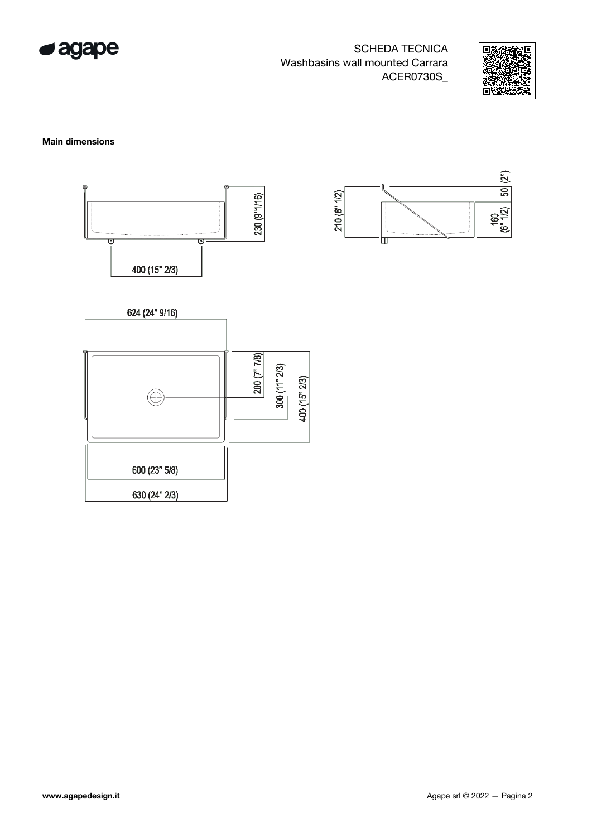



#### Main dimensions

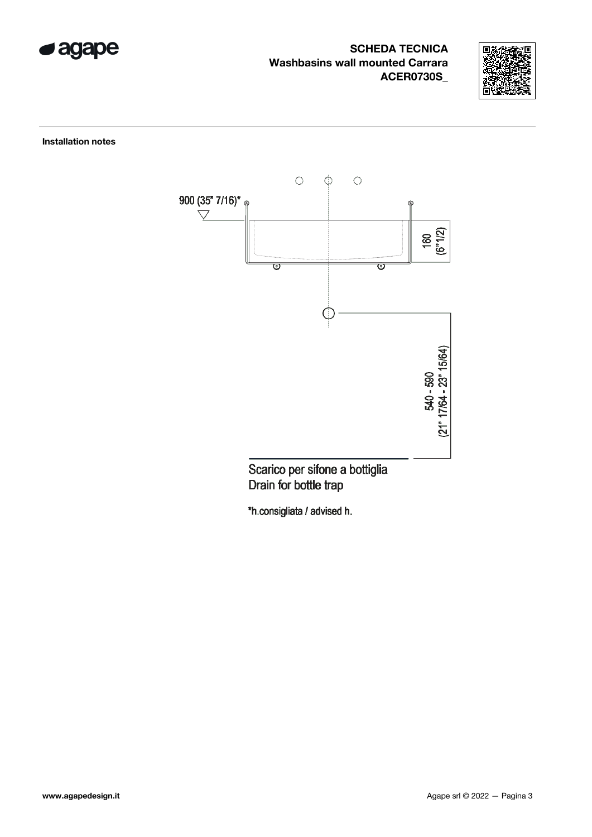



Installation notes



Drain for bottle trap

\*h.consigliata / advised h.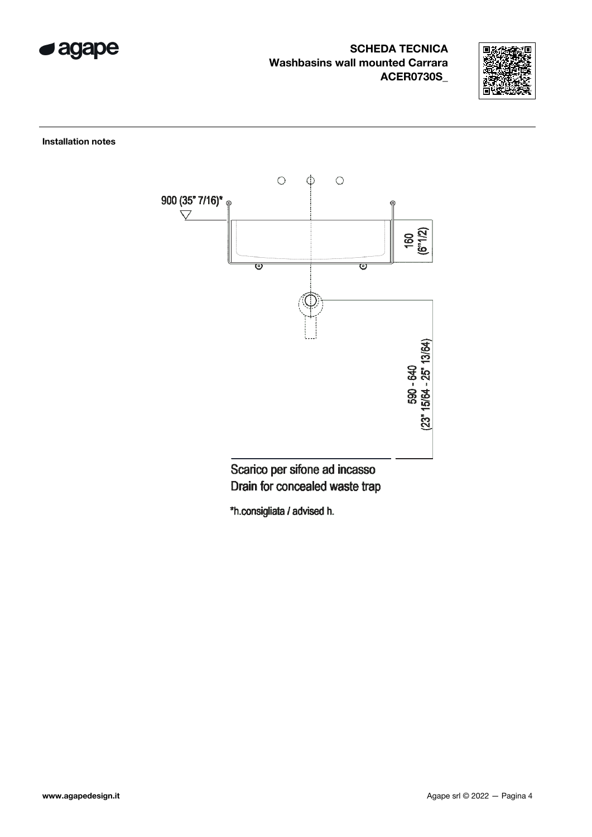



Installation notes



Scarico per sifone ad incasso Drain for concealed waste trap

\*h.consigliata / advised h.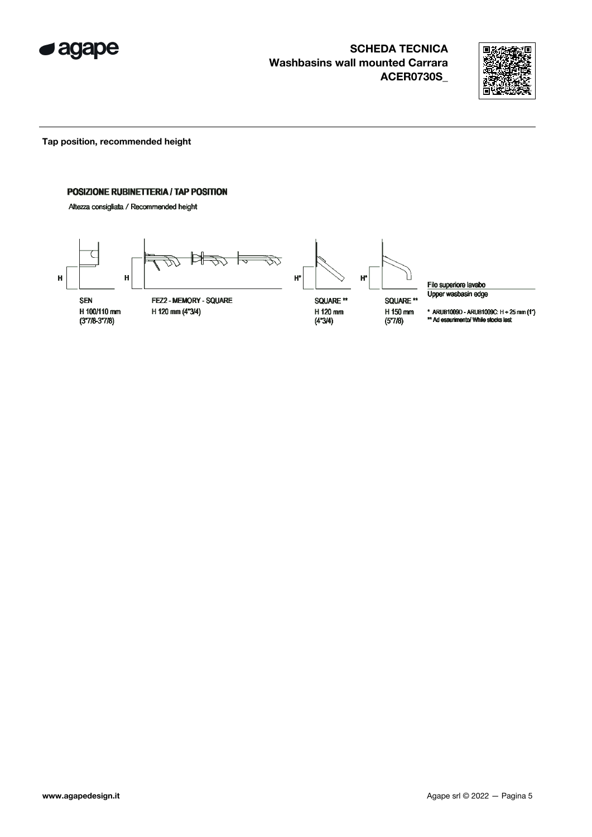



Tap position, recommended height

#### POSIZIONE RUBINETTERIA / TAP POSITION

Altezza consigliata / Recommended height



Filo superiore lavabo Upper wasbasin edge

\* ARUB1009D - ARUB1009C:  $H + 25$  mm  $(1")$ <br>\*\* Ad esaurimento/ While stocks last